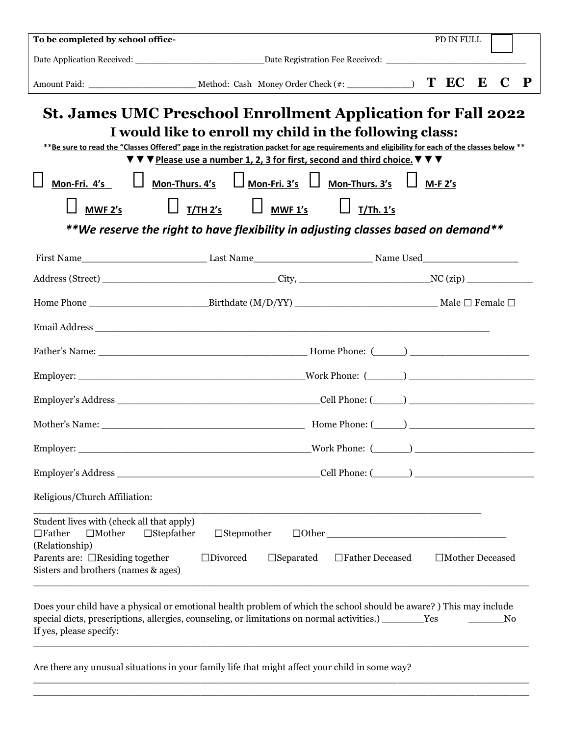| To be completed by school office-                                                             |                                                                                                                                                                                                                                                                                  | PD IN FULL                                    |   |
|-----------------------------------------------------------------------------------------------|----------------------------------------------------------------------------------------------------------------------------------------------------------------------------------------------------------------------------------------------------------------------------------|-----------------------------------------------|---|
|                                                                                               |                                                                                                                                                                                                                                                                                  |                                               |   |
|                                                                                               |                                                                                                                                                                                                                                                                                  | C                                             | P |
|                                                                                               | <b>St. James UMC Preschool Enrollment Application for Fall 2022</b><br>I would like to enroll my child in the following class:<br>** Be sure to read the "Classes Offered" page in the registration packet for age requirements and eligibility for each of the classes below ** |                                               |   |
|                                                                                               | $\blacktriangledown$ $\nabla$ $\blacktriangledown$ Please use a number 1, 2, 3 for first, second and third choice. $\nabla$ $\nabla$ $\nabla$                                                                                                                                    |                                               |   |
| Mon-Fri. 4's                                                                                  | $\Box$ Mon-Thurs. 4's $\Box$ Mon-Fri. 3's $\Box$ Mon-Thurs. 3's $\Box$ M-F 2's                                                                                                                                                                                                   |                                               |   |
| MWF <sub>2's</sub>                                                                            | $\Box$ T/TH 2's $\Box$ MWF 1's $\Box$ T/Th. 1's                                                                                                                                                                                                                                  |                                               |   |
|                                                                                               | **We reserve the right to have flexibility in adjusting classes based on demand**                                                                                                                                                                                                |                                               |   |
|                                                                                               |                                                                                                                                                                                                                                                                                  |                                               |   |
|                                                                                               |                                                                                                                                                                                                                                                                                  |                                               |   |
|                                                                                               |                                                                                                                                                                                                                                                                                  |                                               |   |
|                                                                                               |                                                                                                                                                                                                                                                                                  |                                               |   |
|                                                                                               |                                                                                                                                                                                                                                                                                  |                                               |   |
|                                                                                               |                                                                                                                                                                                                                                                                                  |                                               |   |
|                                                                                               |                                                                                                                                                                                                                                                                                  |                                               |   |
|                                                                                               |                                                                                                                                                                                                                                                                                  |                                               |   |
| Employer:                                                                                     | Work Phone:<br><u> 1989 - Johann Stoff, amerikansk politiker (d. 1989)</u>                                                                                                                                                                                                       |                                               |   |
|                                                                                               |                                                                                                                                                                                                                                                                                  |                                               |   |
| Religious/Church Affiliation:                                                                 |                                                                                                                                                                                                                                                                                  |                                               |   |
| Student lives with (check all that apply)<br>$\Box$ Mother<br>$\Box$ Father<br>(Relationship) | $\Box$ Stepfather<br>$\Box$ Stepmother                                                                                                                                                                                                                                           |                                               |   |
| Parents are: $\Box$ Residing together<br>Sisters and brothers (names & ages)                  | $\square$ Divorced<br>$\square$ Separated                                                                                                                                                                                                                                        | $\Box$<br>Father Deceased<br>□Mother Deceased |   |
|                                                                                               | Does your child have a physical or emotional health problem of which the school should be aware?) This may include<br>special diets, prescriptions, allergies, counseling, or limitations on normal activities.) _______Yes                                                      | No                                            |   |

If yes, please specify:

Are there any unusual situations in your family life that might affect your child in some way?

 $\Box$ 

 $\Box \Box \Box \Box \Box \Box \Box$ \_\_\_\_\_\_\_\_\_\_\_\_\_\_\_\_\_\_\_\_\_\_\_\_\_\_\_\_\_\_\_\_\_\_\_\_\_\_\_\_\_\_\_\_\_\_\_\_\_\_\_\_\_\_\_\_\_\_\_\_\_\_\_\_\_\_\_\_\_\_\_\_\_\_\_\_\_\_\_\_\_\_\_